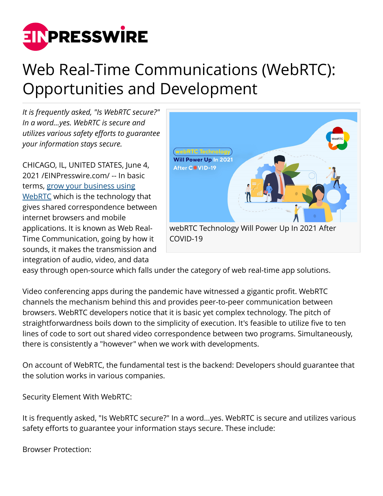

## Web Real-Time Communications (WebRTC): Opportunities and Development

*It is frequently asked, "Is WebRTC secure?" In a word...yes. WebRTC is secure and utilizes various safety efforts to guarantee your information stays secure.*

CHICAGO, IL, UNITED STATES, June 4, 2021 /[EINPresswire.com](http://www.einpresswire.com)/ -- In basic terms, [grow your business using](https://www.moontechnolabs.com/blog/grow-your-business-with-webrtc-app-development/) [WebRTC](https://www.moontechnolabs.com/blog/grow-your-business-with-webrtc-app-development/) which is the technology that gives shared correspondence between internet browsers and mobile applications. It is known as Web Real-Time Communication, going by how it sounds, it makes the transmission and integration of audio, video, and data



easy through open-source which falls under the category of web real-time app solutions.

Video conferencing apps during the pandemic have witnessed a gigantic profit. WebRTC channels the mechanism behind this and provides peer-to-peer communication between browsers. WebRTC developers notice that it is basic yet complex technology. The pitch of straightforwardness boils down to the simplicity of execution. It's feasible to utilize five to ten lines of code to sort out shared video correspondence between two programs. Simultaneously, there is consistently a "however" when we work with developments.

On account of WebRTC, the fundamental test is the backend: Developers should guarantee that the solution works in various companies.

Security Element With WebRTC:

It is frequently asked, "Is WebRTC secure?" In a word...yes. WebRTC is secure and utilizes various safety efforts to guarantee your information stays secure. These include:

Browser Protection: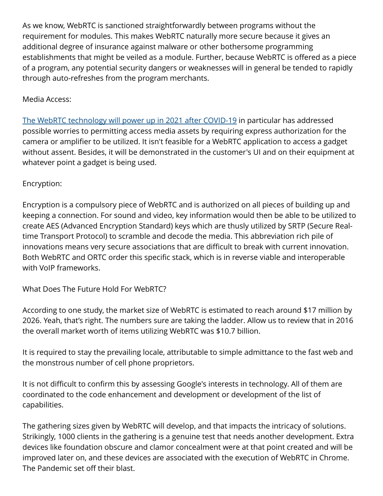As we know, WebRTC is sanctioned straightforwardly between programs without the requirement for modules. This makes WebRTC naturally more secure because it gives an additional degree of insurance against malware or other bothersome programming establishments that might be veiled as a module. Further, because WebRTC is offered as a piece of a program, any potential security dangers or weaknesses will in general be tended to rapidly through auto-refreshes from the program merchants.

## Media Access:

[The WebRTC technology will power up in 2021 after COVID-19](https://www.moontechnolabs.com/blog/5-ways-webrtc-technology-will-power-up-in-2021-after-covid-19/) in particular has addressed possible worries to permitting access media assets by requiring express authorization for the camera or amplifier to be utilized. It isn't feasible for a WebRTC application to access a gadget without assent. Besides, it will be demonstrated in the customer's UI and on their equipment at whatever point a gadget is being used.

## Encryption:

Encryption is a compulsory piece of WebRTC and is authorized on all pieces of building up and keeping a connection. For sound and video, key information would then be able to be utilized to create AES (Advanced Encryption Standard) keys which are thusly utilized by SRTP (Secure Realtime Transport Protocol) to scramble and decode the media. This abbreviation rich pile of innovations means very secure associations that are difficult to break with current innovation. Both WebRTC and ORTC order this specific stack, which is in reverse viable and interoperable with VoIP frameworks.

What Does The Future Hold For WebRTC?

According to one study, the market size of WebRTC is estimated to reach around \$17 million by 2026. Yeah, that's right. The numbers sure are taking the ladder. Allow us to review that in 2016 the overall market worth of items utilizing WebRTC was \$10.7 billion.

It is required to stay the prevailing locale, attributable to simple admittance to the fast web and the monstrous number of cell phone proprietors.

It is not difficult to confirm this by assessing Google's interests in technology. All of them are coordinated to the code enhancement and development or development of the list of capabilities.

The gathering sizes given by WebRTC will develop, and that impacts the intricacy of solutions. Strikingly, 1000 clients in the gathering is a genuine test that needs another development. Extra devices like foundation obscure and clamor concealment were at that point created and will be improved later on, and these devices are associated with the execution of WebRTC in Chrome. The Pandemic set off their blast.